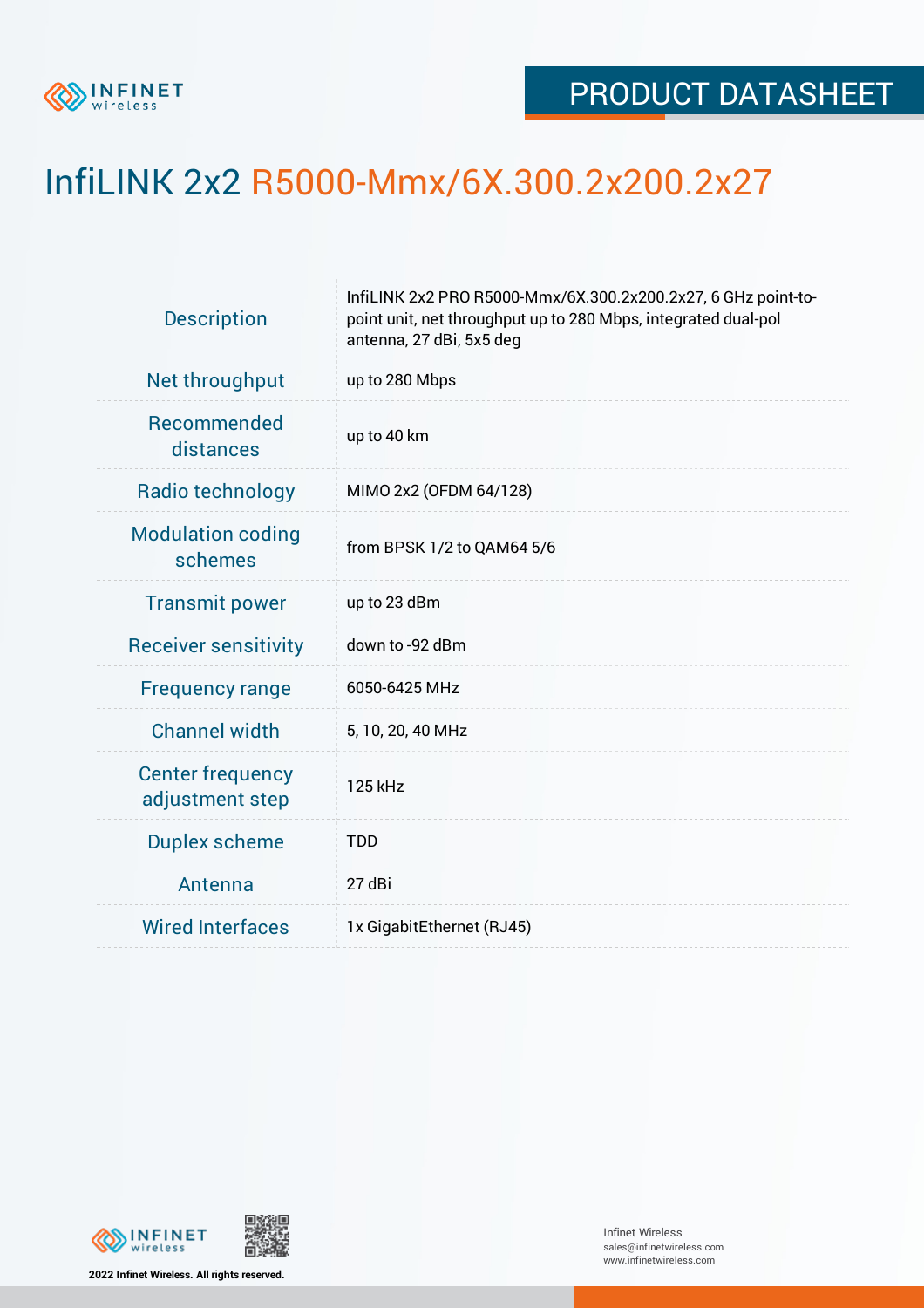

## InfiLINK 2x2 R5000-Mmx/6X.300.2x200.2x27

| <b>Description</b>                         | InfiLINK 2x2 PRO R5000-Mmx/6X.300.2x200.2x27, 6 GHz point-to-<br>point unit, net throughput up to 280 Mbps, integrated dual-pol<br>antenna, 27 dBi, 5x5 deg |  |  |  |  |
|--------------------------------------------|-------------------------------------------------------------------------------------------------------------------------------------------------------------|--|--|--|--|
| Net throughput                             | up to 280 Mbps                                                                                                                                              |  |  |  |  |
| Recommended<br>distances                   | up to 40 km                                                                                                                                                 |  |  |  |  |
| Radio technology                           | MIMO 2x2 (OFDM 64/128)                                                                                                                                      |  |  |  |  |
| <b>Modulation coding</b><br>schemes        | from BPSK 1/2 to QAM64 5/6                                                                                                                                  |  |  |  |  |
| <b>Transmit power</b>                      | up to 23 dBm                                                                                                                                                |  |  |  |  |
| <b>Receiver sensitivity</b>                | down to -92 dBm                                                                                                                                             |  |  |  |  |
| <b>Frequency range</b>                     | 6050-6425 MHz                                                                                                                                               |  |  |  |  |
| <b>Channel width</b>                       | 5, 10, 20, 40 MHz                                                                                                                                           |  |  |  |  |
| <b>Center frequency</b><br>adjustment step | 125 kHz                                                                                                                                                     |  |  |  |  |
| <b>Duplex scheme</b>                       | <b>TDD</b>                                                                                                                                                  |  |  |  |  |
| Antenna                                    | 27 dBi                                                                                                                                                      |  |  |  |  |
| <b>Wired Interfaces</b>                    | 1x GigabitEthernet (RJ45)                                                                                                                                   |  |  |  |  |





Infinet Wireless sales@infinetwireless.com www.infinetwireless.com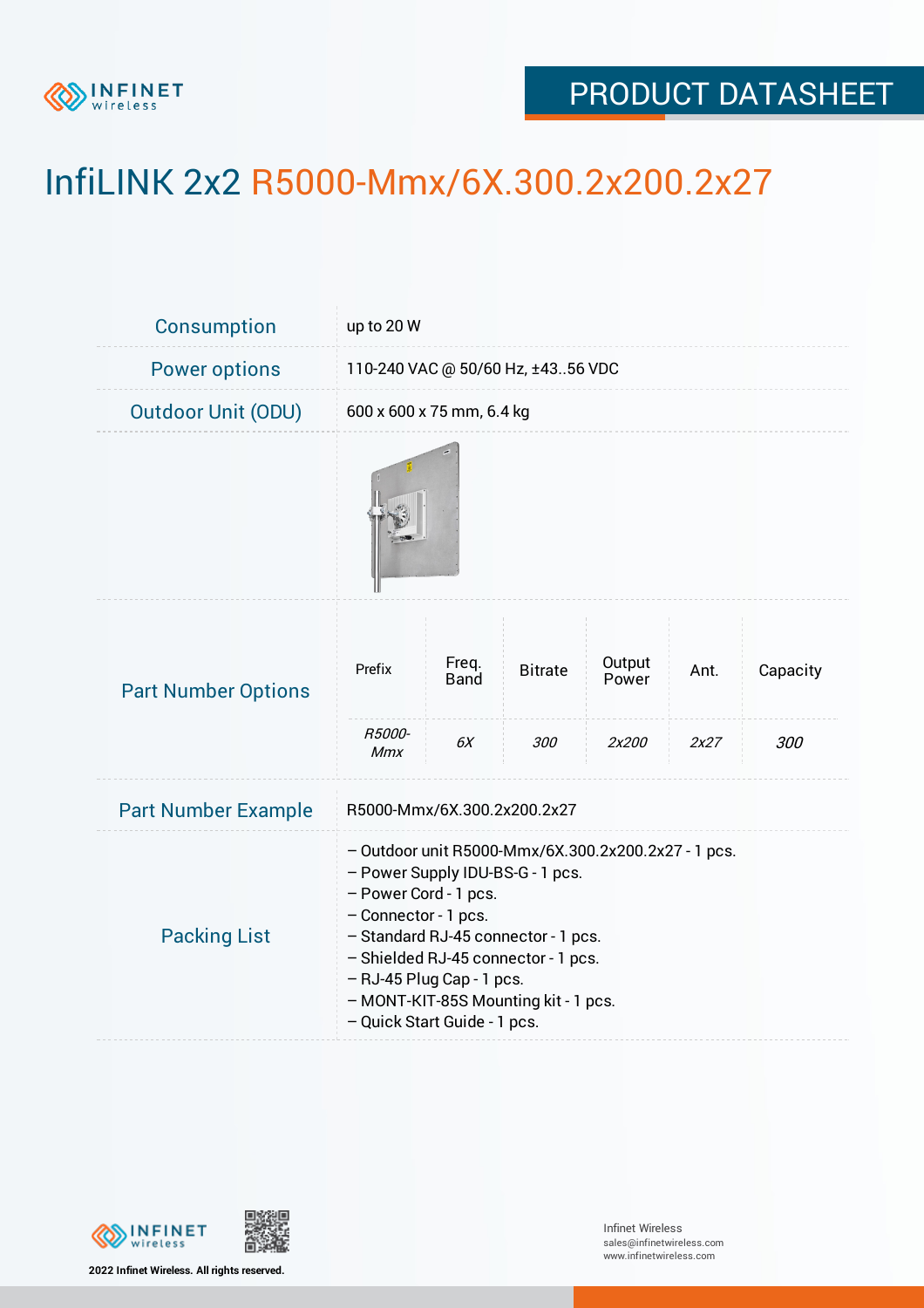

## PRODUCT DATASHEET

## InfiLINK 2x2 R5000-Mmx/6X.300.2x200.2x27

| <b>Consumption</b>         | up to 20 W                                                                                                                                                                                                                                                                                                                  |                            |                       |                          |              |                 |  |  |
|----------------------------|-----------------------------------------------------------------------------------------------------------------------------------------------------------------------------------------------------------------------------------------------------------------------------------------------------------------------------|----------------------------|-----------------------|--------------------------|--------------|-----------------|--|--|
| <b>Power options</b>       | 110-240 VAC @ 50/60 Hz, ±4356 VDC                                                                                                                                                                                                                                                                                           |                            |                       |                          |              |                 |  |  |
| <b>Outdoor Unit (ODU)</b>  | 600 x 600 x 75 mm, 6.4 kg                                                                                                                                                                                                                                                                                                   |                            |                       |                          |              |                 |  |  |
|                            |                                                                                                                                                                                                                                                                                                                             |                            |                       |                          |              |                 |  |  |
| <b>Part Number Options</b> | Prefix<br>R5000-                                                                                                                                                                                                                                                                                                            | Freq.<br><b>Band</b><br>6X | <b>Bitrate</b><br>300 | Output<br>Power<br>2x200 | Ant.<br>2x27 | Capacity<br>300 |  |  |
|                            | Mmx                                                                                                                                                                                                                                                                                                                         |                            |                       |                          |              |                 |  |  |
| <b>Part Number Example</b> | R5000-Mmx/6X.300.2x200.2x27                                                                                                                                                                                                                                                                                                 |                            |                       |                          |              |                 |  |  |
| <b>Packing List</b>        | - Outdoor unit R5000-Mmx/6X.300.2x200.2x27 - 1 pcs.<br>- Power Supply IDU-BS-G - 1 pcs.<br>- Power Cord - 1 pcs.<br>- Connector - 1 pcs.<br>- Standard RJ-45 connector - 1 pcs.<br>- Shielded RJ-45 connector - 1 pcs.<br>- RJ-45 Plug Cap - 1 pcs.<br>- MONT-KIT-85S Mounting kit - 1 pcs.<br>- Quick Start Guide - 1 pcs. |                            |                       |                          |              |                 |  |  |



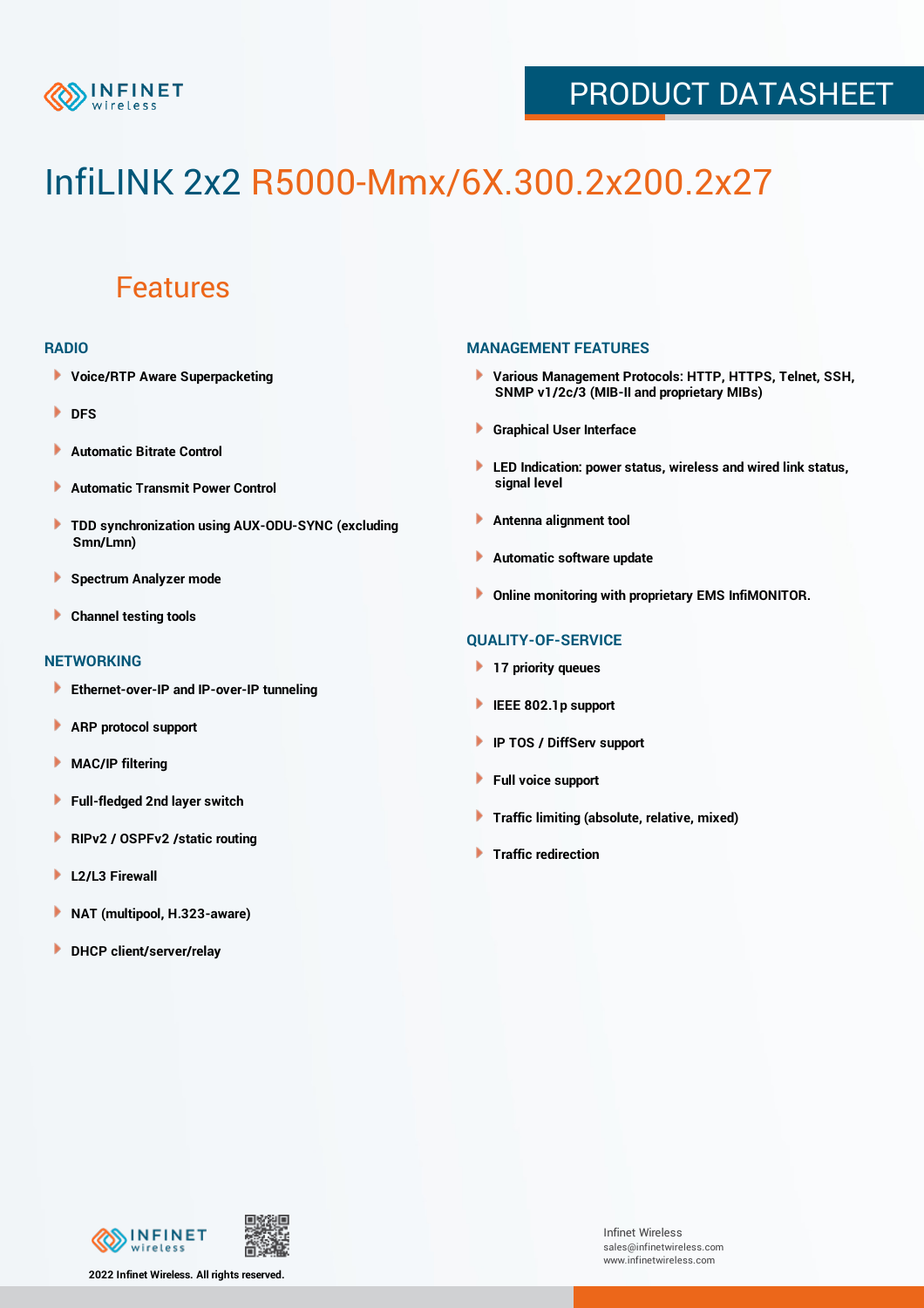

## PRODUCT DATASHEET

# InfiLINK 2x2 R5000-Mmx/6X.300.2x200.2x27

### Features

#### **RADIO**

- **Voice/RTP Aware Superpacketing**
- **DFS**
- **Automatic Bitrate Control** Þ
- Þ **Automatic Transmit Power Control**
- ь **TDD synchronization using AUX-ODU-SYNC (excluding Smn/Lmn)**
- **Spectrum Analyzer mode** ۰
- **Channel testing tools** ١

#### **NETWORKING**

- **Ethernet-over-IP and IP-over-IP tunneling**
- **ARP protocol support** ٠
- ۱ **MAC/IP filtering**
- Þ **Full-fledged 2nd layer switch**
- Þ **RIPv2 / OSPFv2 /static routing**
- **L2/L3 Firewall** Þ
- **NAT (multipool, H.323-aware)** Þ
- Þ **DHCP client/server/relay**

#### **MANAGEMENT FEATURES**

- **Various Management Protocols: HTTP, HTTPS, Telnet, SSH, SNMP v1/2c/3 (MIB-II and proprietary MIBs)**
- **Graphical User Interface**
- **LED Indication: power status, wireless and wired link status, signal level**
- **Antenna alignment tool**
- ٠ **Automatic software update**
- **Online monitoring with proprietary EMS InfiMONITOR.**

#### **QUALITY-OF-SERVICE**

- **17 priority queues**
- **IEEE 802.1p support**
- **IP TOS / DiffServ support**
- ٠ **Full voice support**
- **Traffic limiting (absolute, relative, mixed)** ٠
- **Traffic redirection**